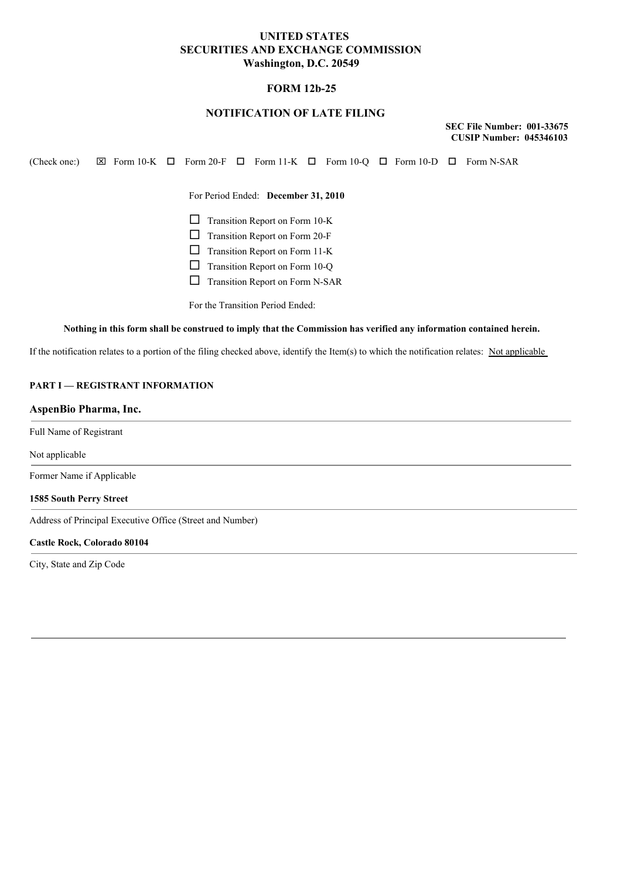# **UNITED STATES SECURITIES AND EXCHANGE COMMISSION Washington, D.C. 20549**

## **FORM 12b-25**

# **NOTIFICATION OF LATE FILING**

**SEC File Number: 001-33675 CUSIP Number: 045346103**

(Check one:)  $\boxtimes$  Form 10-K  $\Box$  Form 20-F  $\Box$  Form 11-K  $\Box$  Form 10-Q  $\Box$  Form N-SAR

For Period Ended: **December 31, 2010**

 $\Box$  Transition Report on Form 10-K

 $\Box$  Transition Report on Form 20-F

 $\Box$  Transition Report on Form 11-K

 $\Box$  Transition Report on Form 10-Q

 $\Box$  Transition Report on Form N-SAR

For the Transition Period Ended:

#### Nothing in this form shall be construed to imply that the Commission has verified any information contained herein.

If the notification relates to a portion of the filing checked above, identify the Item(s) to which the notification relates: Not applicable

## **PART I — REGISTRANT INFORMATION**

### **AspenBio Pharma, Inc.**

Full Name of Registrant

#### Not applicable

Former Name if Applicable

#### **1585 South Perry Street**

Address of Principal Executive Office (Street and Number)

#### **Castle Rock, Colorado 80104**

City, State and Zip Code